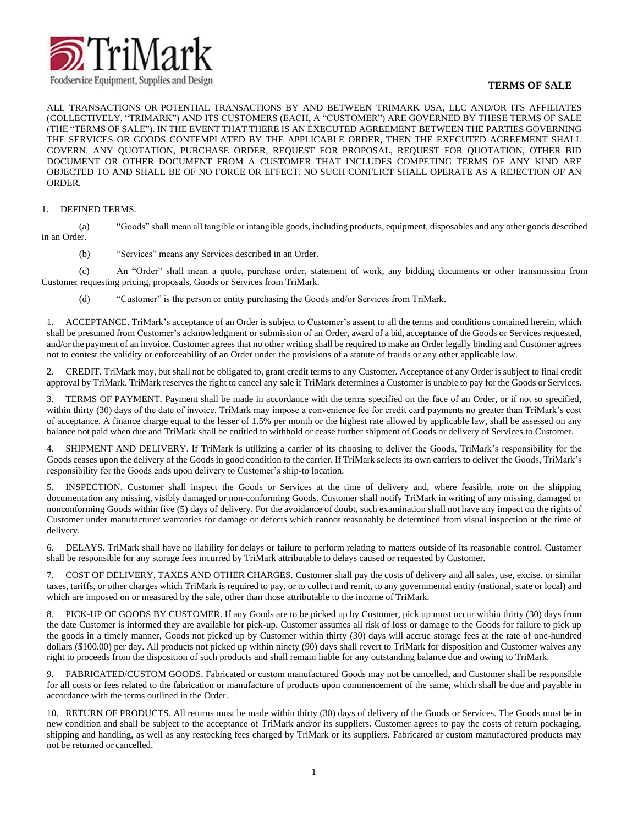

## **TERMS OF SALE**

ALL TRANSACTIONS OR POTENTIAL TRANSACTIONS BY AND BETWEEN TRIMARK USA, LLC AND/OR ITS AFFILIATES (COLLECTIVELY, "TRIMARK") AND ITS CUSTOMERS (EACH, A "CUSTOMER") ARE GOVERNED BY THESE TERMS OF SALE (THE "TERMS OF SALE"). IN THE EVENT THAT THERE IS AN EXECUTED AGREEMENT BETWEEN THE PARTIES GOVERNING THE SERVICES OR GOODS CONTEMPLATED BY THE APPLICABLE ORDER, THEN THE EXECUTED AGREEMENT SHALL GOVERN. ANY QUOTATION, PURCHASE ORDER, REQUEST FOR PROPOSAL, REQUEST FOR QUOTATION, OTHER BID DOCUMENT OR OTHER DOCUMENT FROM A CUSTOMER THAT INCLUDES COMPETING TERMS OF ANY KIND ARE OBJECTED TO AND SHALL BE OF NO FORCE OR EFFECT. NO SUCH CONFLICT SHALL OPERATE AS A REJECTION OF AN ORDER.

## 1. DEFINED TERMS.

(a) "Goods" shall mean all tangible or intangible goods, including products, equipment, disposables and any other goods described in an Order.

(b) "Services" means any Services described in an Order.

(c) An "Order" shall mean a quote, purchase order, statement of work, any bidding documents or other transmission from Customer requesting pricing, proposals, Goods or Services from TriMark.

(d) "Customer" is the person or entity purchasing the Goods and/or Services from TriMark.

1. ACCEPTANCE. TriMark's acceptance of an Order is subject to Customer's assent to all the terms and conditions contained herein, which shall be presumed from Customer's acknowledgment or submission of an Order, award of a bid, acceptance of the Goods or Services requested, and/or the payment of an invoice. Customer agrees that no other writing shall be required to make an Order legally binding and Customer agrees not to contest the validity or enforceability of an Order under the provisions of a statute of frauds or any other applicable law.

2. CREDIT. TriMark may, but shall not be obligated to, grant credit terms to any Customer. Acceptance of any Order is subject to final credit approval by TriMark. TriMark reserves the right to cancel any sale if TriMark determines a Customer is unable to pay for the Goods or Services.

3. TERMS OF PAYMENT. Payment shall be made in accordance with the terms specified on the face of an Order, or if not so specified, within thirty (30) days of the date of invoice. TriMark may impose a convenience fee for credit card payments no greater than TriMark's cost of acceptance. A finance charge equal to the lesser of 1.5% per month or the highest rate allowed by applicable law, shall be assessed on any balance not paid when due and TriMark shall be entitled to withhold or cease further shipment of Goods or delivery of Services to Customer.

4. SHIPMENT AND DELIVERY. If TriMark is utilizing a carrier of its choosing to deliver the Goods, TriMark's responsibility for the Goods ceases upon the delivery of the Goods in good condition to the carrier. If TriMark selects its own carriers to deliver the Goods, TriMark's responsibility for the Goods ends upon delivery to Customer's ship-to location.

5. INSPECTION. Customer shall inspect the Goods or Services at the time of delivery and, where feasible, note on the shipping documentation any missing, visibly damaged or non-conforming Goods. Customer shall notify TriMark in writing of any missing, damaged or nonconforming Goods within five (5) days of delivery. For the avoidance of doubt, such examination shall not have any impact on the rights of Customer under manufacturer warranties for damage or defects which cannot reasonably be determined from visual inspection at the time of delivery.

6. DELAYS. TriMark shall have no liability for delays or failure to perform relating to matters outside of its reasonable control. Customer shall be responsible for any storage fees incurred by TriMark attributable to delays caused or requested by Customer.

7. COST OF DELIVERY, TAXES AND OTHER CHARGES. Customer shall pay the costs of delivery and all sales, use, excise, or similar taxes, tariffs, or other charges which TriMark is required to pay, or to collect and remit, to any governmental entity (national, state or local) and which are imposed on or measured by the sale, other than those attributable to the income of TriMark.

8. PICK-UP OF GOODS BY CUSTOMER. If any Goods are to be picked up by Customer, pick up must occur within thirty (30) days from the date Customer is informed they are available for pick-up. Customer assumes all risk of loss or damage to the Goods for failure to pick up the goods in a timely manner, Goods not picked up by Customer within thirty (30) days will accrue storage fees at the rate of one-hundred dollars (\$100.00) per day. All products not picked up within ninety (90) days shall revert to TriMark for disposition and Customer waives any right to proceeds from the disposition of such products and shall remain liable for any outstanding balance due and owing to TriMark.

9. FABRICATED/CUSTOM GOODS. Fabricated or custom manufactured Goods may not be cancelled, and Customer shall be responsible for all costs or fees related to the fabrication or manufacture of products upon commencement of the same, which shall be due and payable in accordance with the terms outlined in the Order.

10. RETURN OF PRODUCTS. All returns must be made within thirty (30) days of delivery of the Goods or Services. The Goods must be in new condition and shall be subject to the acceptance of TriMark and/or its suppliers. Customer agrees to pay the costs of return packaging, shipping and handling, as well as any restocking fees charged by TriMark or its suppliers. Fabricated or custom manufactured products may not be returned or cancelled.